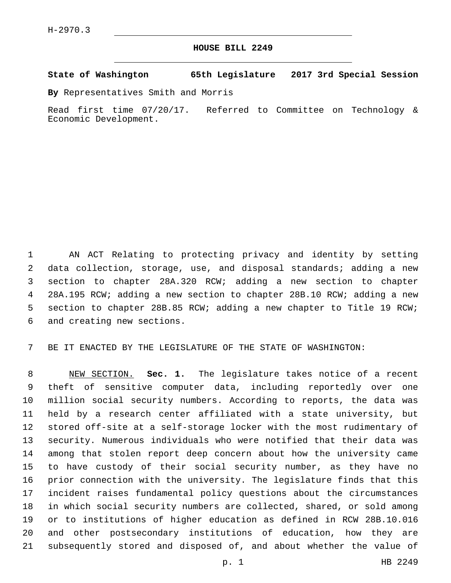## **HOUSE BILL 2249**

## **State of Washington 65th Legislature 2017 3rd Special Session**

**By** Representatives Smith and Morris

Read first time 07/20/17. Referred to Committee on Technology & Economic Development.

 AN ACT Relating to protecting privacy and identity by setting data collection, storage, use, and disposal standards; adding a new section to chapter 28A.320 RCW; adding a new section to chapter 28A.195 RCW; adding a new section to chapter 28B.10 RCW; adding a new section to chapter 28B.85 RCW; adding a new chapter to Title 19 RCW; 6 and creating new sections.

BE IT ENACTED BY THE LEGISLATURE OF THE STATE OF WASHINGTON:

 NEW SECTION. **Sec. 1.** The legislature takes notice of a recent theft of sensitive computer data, including reportedly over one million social security numbers. According to reports, the data was held by a research center affiliated with a state university, but stored off-site at a self-storage locker with the most rudimentary of security. Numerous individuals who were notified that their data was among that stolen report deep concern about how the university came to have custody of their social security number, as they have no prior connection with the university. The legislature finds that this incident raises fundamental policy questions about the circumstances in which social security numbers are collected, shared, or sold among or to institutions of higher education as defined in RCW 28B.10.016 and other postsecondary institutions of education, how they are subsequently stored and disposed of, and about whether the value of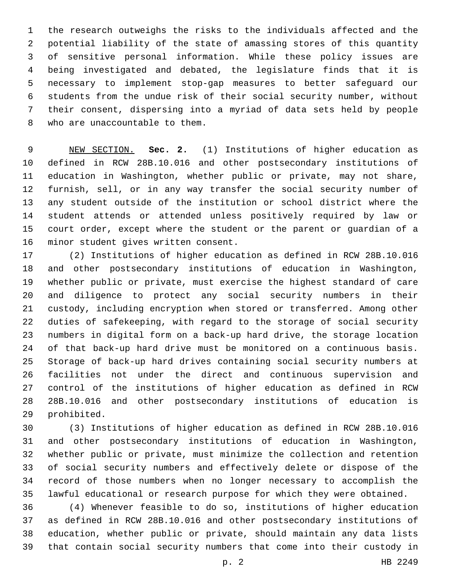the research outweighs the risks to the individuals affected and the potential liability of the state of amassing stores of this quantity of sensitive personal information. While these policy issues are being investigated and debated, the legislature finds that it is necessary to implement stop-gap measures to better safeguard our students from the undue risk of their social security number, without their consent, dispersing into a myriad of data sets held by people 8 who are unaccountable to them.

 NEW SECTION. **Sec. 2.** (1) Institutions of higher education as defined in RCW 28B.10.016 and other postsecondary institutions of education in Washington, whether public or private, may not share, furnish, sell, or in any way transfer the social security number of any student outside of the institution or school district where the student attends or attended unless positively required by law or court order, except where the student or the parent or guardian of a minor student gives written consent.

 (2) Institutions of higher education as defined in RCW 28B.10.016 and other postsecondary institutions of education in Washington, whether public or private, must exercise the highest standard of care and diligence to protect any social security numbers in their custody, including encryption when stored or transferred. Among other duties of safekeeping, with regard to the storage of social security numbers in digital form on a back-up hard drive, the storage location of that back-up hard drive must be monitored on a continuous basis. Storage of back-up hard drives containing social security numbers at facilities not under the direct and continuous supervision and control of the institutions of higher education as defined in RCW 28B.10.016 and other postsecondary institutions of education is 29 prohibited.

 (3) Institutions of higher education as defined in RCW 28B.10.016 and other postsecondary institutions of education in Washington, whether public or private, must minimize the collection and retention of social security numbers and effectively delete or dispose of the record of those numbers when no longer necessary to accomplish the lawful educational or research purpose for which they were obtained.

 (4) Whenever feasible to do so, institutions of higher education as defined in RCW 28B.10.016 and other postsecondary institutions of education, whether public or private, should maintain any data lists that contain social security numbers that come into their custody in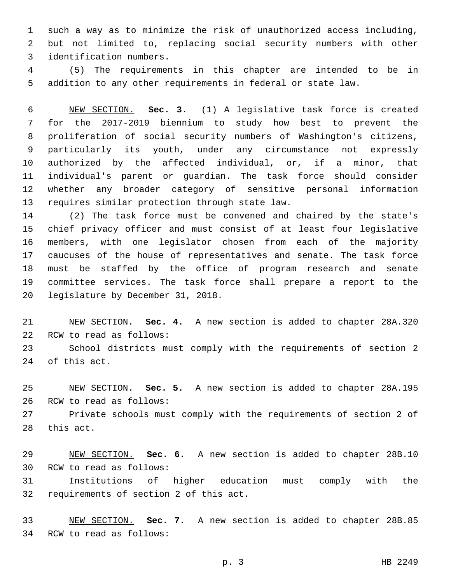such a way as to minimize the risk of unauthorized access including, but not limited to, replacing social security numbers with other 3 identification numbers.

 (5) The requirements in this chapter are intended to be in addition to any other requirements in federal or state law.

 NEW SECTION. **Sec. 3.** (1) A legislative task force is created for the 2017-2019 biennium to study how best to prevent the proliferation of social security numbers of Washington's citizens, particularly its youth, under any circumstance not expressly authorized by the affected individual, or, if a minor, that individual's parent or guardian. The task force should consider whether any broader category of sensitive personal information requires similar protection through state law.

 (2) The task force must be convened and chaired by the state's chief privacy officer and must consist of at least four legislative members, with one legislator chosen from each of the majority caucuses of the house of representatives and senate. The task force must be staffed by the office of program research and senate committee services. The task force shall prepare a report to the 20 legislature by December 31, 2018.

 NEW SECTION. **Sec. 4.** A new section is added to chapter 28A.320 22 RCW to read as follows:

 School districts must comply with the requirements of section 2 24 of this act.

 NEW SECTION. **Sec. 5.** A new section is added to chapter 28A.195 26 RCW to read as follows:

 Private schools must comply with the requirements of section 2 of 28 this act.

 NEW SECTION. **Sec. 6.** A new section is added to chapter 28B.10 30 RCW to read as follows:

 Institutions of higher education must comply with the 32 requirements of section 2 of this act.

 NEW SECTION. **Sec. 7.** A new section is added to chapter 28B.85 34 RCW to read as follows: